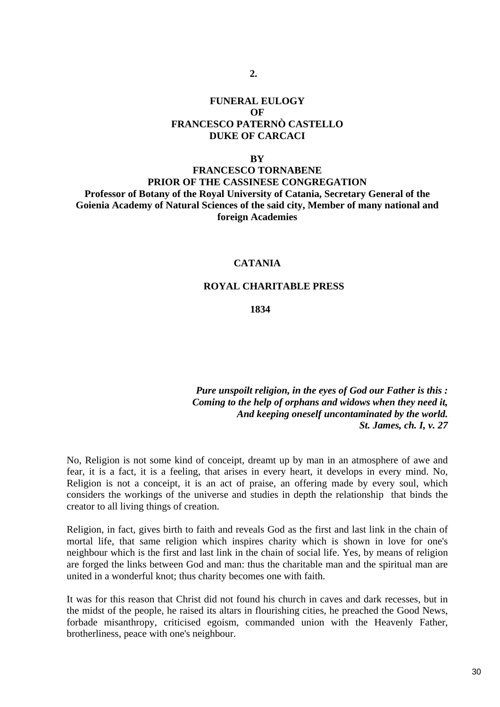# **FUNERAL EULOGY**   $\Omega$ **F FRANCESCO PATERNÒ CASTELLO DUKE OF CARCACI**

**2.** 

#### **BY**

# **FRANCESCO TORNABENE PRIOR OF THE CASSINESE CONGREGATION Professor of Botany of the Royal University of Catania, Secretary General of the Goienia Academy of Natural Sciences of the said city, Member of many national and foreign Academies**

# **CATANIA**

#### **ROYAL CHARITABLE PRESS**

### **1834**

*Pure unspoilt religion, in the eyes of God our Father is this : Coming to the help of orphans and widows when they need it, And keeping oneself uncontaminated by the world. St. James, ch. I, v. 27* 

No, Religion is not some kind of conceipt, dreamt up by man in an atmosphere of awe and fear, it is a fact, it is a feeling, that arises in every heart, it develops in every mind. No, Religion is not a conceipt, it is an act of praise, an offering made by every soul, which considers the workings of the universe and studies in depth the relationship that binds the creator to all living things of creation.

Religion, in fact, gives birth to faith and reveals God as the first and last link in the chain of mortal life, that same religion which inspires charity which is shown in love for one's neighbour which is the first and last link in the chain of social life. Yes, by means of religion are forged the links between God and man: thus the charitable man and the spiritual man are united in a wonderful knot; thus charity becomes one with faith.

It was for this reason that Christ did not found his church in caves and dark recesses, but in the midst of the people, he raised its altars in flourishing cities, he preached the Good News, forbade misanthropy, criticised egoism, commanded union with the Heavenly Father, brotherliness, peace with one's neighbour.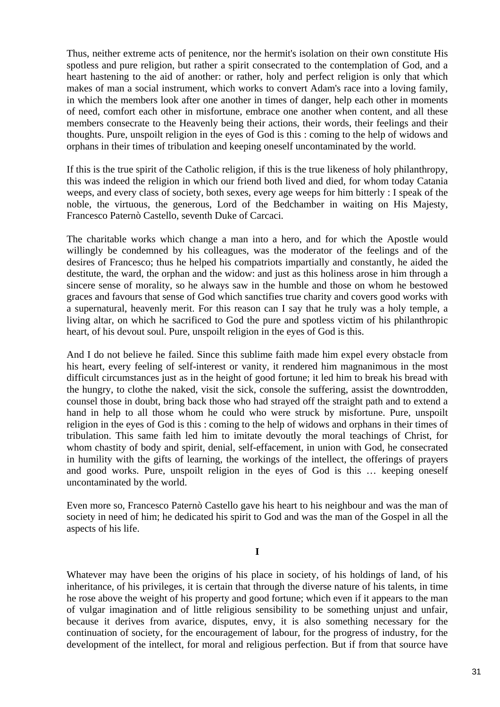Thus, neither extreme acts of penitence, nor the hermit's isolation on their own constitute His spotless and pure religion, but rather a spirit consecrated to the contemplation of God, and a heart hastening to the aid of another: or rather, holy and perfect religion is only that which makes of man a social instrument, which works to convert Adam's race into a loving family, in which the members look after one another in times of danger, help each other in moments of need, comfort each other in misfortune, embrace one another when content, and all these members consecrate to the Heavenly being their actions, their words, their feelings and their thoughts. Pure, unspoilt religion in the eyes of God is this : coming to the help of widows and orphans in their times of tribulation and keeping oneself uncontaminated by the world.

If this is the true spirit of the Catholic religion, if this is the true likeness of holy philanthropy, this was indeed the religion in which our friend both lived and died, for whom today Catania weeps, and every class of society, both sexes, every age weeps for him bitterly : I speak of the noble, the virtuous, the generous, Lord of the Bedchamber in waiting on His Majesty, Francesco Paternò Castello, seventh Duke of Carcaci.

The charitable works which change a man into a hero, and for which the Apostle would willingly be condemned by his colleagues, was the moderator of the feelings and of the desires of Francesco; thus he helped his compatriots impartially and constantly, he aided the destitute, the ward, the orphan and the widow: and just as this holiness arose in him through a sincere sense of morality, so he always saw in the humble and those on whom he bestowed graces and favours that sense of God which sanctifies true charity and covers good works with a supernatural, heavenly merit. For this reason can I say that he truly was a holy temple, a living altar, on which he sacrificed to God the pure and spotless victim of his philanthropic heart, of his devout soul. Pure, unspoilt religion in the eyes of God is this.

And I do not believe he failed. Since this sublime faith made him expel every obstacle from his heart, every feeling of self-interest or vanity, it rendered him magnanimous in the most difficult circumstances just as in the height of good fortune; it led him to break his bread with the hungry, to clothe the naked, visit the sick, console the suffering, assist the downtrodden, counsel those in doubt, bring back those who had strayed off the straight path and to extend a hand in help to all those whom he could who were struck by misfortune. Pure, unspoilt religion in the eyes of God is this : coming to the help of widows and orphans in their times of tribulation. This same faith led him to imitate devoutly the moral teachings of Christ, for whom chastity of body and spirit, denial, self-effacement, in union with God, he consecrated in humility with the gifts of learning, the workings of the intellect, the offerings of prayers and good works. Pure, unspoilt religion in the eyes of God is this … keeping oneself uncontaminated by the world.

Even more so, Francesco Paternò Castello gave his heart to his neighbour and was the man of society in need of him; he dedicated his spirit to God and was the man of the Gospel in all the aspects of his life.

#### **I**

Whatever may have been the origins of his place in society, of his holdings of land, of his inheritance, of his privileges, it is certain that through the diverse nature of his talents, in time he rose above the weight of his property and good fortune; which even if it appears to the man of vulgar imagination and of little religious sensibility to be something unjust and unfair, because it derives from avarice, disputes, envy, it is also something necessary for the continuation of society, for the encouragement of labour, for the progress of industry, for the development of the intellect, for moral and religious perfection. But if from that source have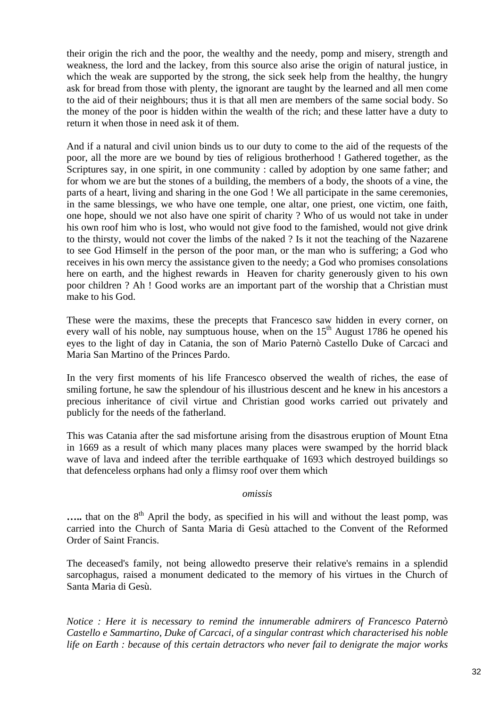their origin the rich and the poor, the wealthy and the needy, pomp and misery, strength and weakness, the lord and the lackey, from this source also arise the origin of natural justice, in which the weak are supported by the strong, the sick seek help from the healthy, the hungry ask for bread from those with plenty, the ignorant are taught by the learned and all men come to the aid of their neighbours; thus it is that all men are members of the same social body. So the money of the poor is hidden within the wealth of the rich; and these latter have a duty to return it when those in need ask it of them.

And if a natural and civil union binds us to our duty to come to the aid of the requests of the poor, all the more are we bound by ties of religious brotherhood ! Gathered together, as the Scriptures say, in one spirit, in one community : called by adoption by one same father; and for whom we are but the stones of a building, the members of a body, the shoots of a vine, the parts of a heart, living and sharing in the one God ! We all participate in the same ceremonies, in the same blessings, we who have one temple, one altar, one priest, one victim, one faith, one hope, should we not also have one spirit of charity ? Who of us would not take in under his own roof him who is lost, who would not give food to the famished, would not give drink to the thirsty, would not cover the limbs of the naked ? Is it not the teaching of the Nazarene to see God Himself in the person of the poor man, or the man who is suffering; a God who receives in his own mercy the assistance given to the needy; a God who promises consolations here on earth, and the highest rewards in Heaven for charity generously given to his own poor children ? Ah ! Good works are an important part of the worship that a Christian must make to his God.

These were the maxims, these the precepts that Francesco saw hidden in every corner, on every wall of his noble, nay sumptuous house, when on the  $15<sup>th</sup>$  August 1786 he opened his eyes to the light of day in Catania, the son of Mario Paternò Castello Duke of Carcaci and Maria San Martino of the Princes Pardo.

In the very first moments of his life Francesco observed the wealth of riches, the ease of smiling fortune, he saw the splendour of his illustrious descent and he knew in his ancestors a precious inheritance of civil virtue and Christian good works carried out privately and publicly for the needs of the fatherland.

This was Catania after the sad misfortune arising from the disastrous eruption of Mount Etna in 1669 as a result of which many places many places were swamped by the horrid black wave of lava and indeed after the terrible earthquake of 1693 which destroyed buildings so that defenceless orphans had only a flimsy roof over them which

## *omissis*

..... that on the 8<sup>th</sup> April the body, as specified in his will and without the least pomp, was carried into the Church of Santa Maria di Gesù attached to the Convent of the Reformed Order of Saint Francis.

The deceased's family, not being allowedto preserve their relative's remains in a splendid sarcophagus, raised a monument dedicated to the memory of his virtues in the Church of Santa Maria di Gesù.

*Notice : Here it is necessary to remind the innumerable admirers of Francesco Paternò Castello e Sammartino, Duke of Carcaci, of a singular contrast which characterised his noble life on Earth : because of this certain detractors who never fail to denigrate the major works*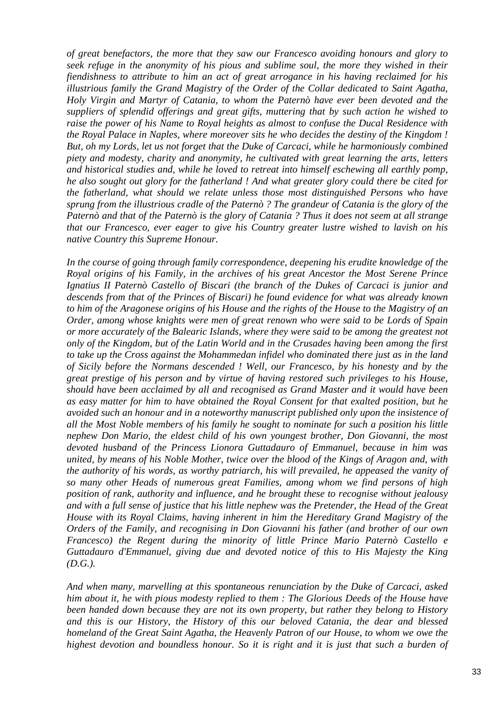*of great benefactors, the more that they saw our Francesco avoiding honours and glory to seek refuge in the anonymity of his pious and sublime soul, the more they wished in their fiendishness to attribute to him an act of great arrogance in his having reclaimed for his illustrious family the Grand Magistry of the Order of the Collar dedicated to Saint Agatha, Holy Virgin and Martyr of Catania, to whom the Paternò have ever been devoted and the suppliers of splendid offerings and great gifts, muttering that by such action he wished to raise the power of his Name to Royal heights as almost to confuse the Ducal Residence with the Royal Palace in Naples, where moreover sits he who decides the destiny of the Kingdom ! But, oh my Lords, let us not forget that the Duke of Carcaci, while he harmoniously combined piety and modesty, charity and anonymity, he cultivated with great learning the arts, letters and historical studies and, while he loved to retreat into himself eschewing all earthly pomp, he also sought out glory for the fatherland ! And what greater glory could there be cited for the fatherland, what should we relate unless those most distinguished Persons who have sprung from the illustrious cradle of the Paternò ? The grandeur of Catania is the glory of the Paternò and that of the Paternò is the glory of Catania ? Thus it does not seem at all strange that our Francesco, ever eager to give his Country greater lustre wished to lavish on his native Country this Supreme Honour.* 

*In the course of going through family correspondence, deepening his erudite knowledge of the Royal origins of his Family, in the archives of his great Ancestor the Most Serene Prince Ignatius II Paternò Castello of Biscari (the branch of the Dukes of Carcaci is junior and descends from that of the Princes of Biscari) he found evidence for what was already known to him of the Aragonese origins of his House and the rights of the House to the Magistry of an Order, among whose knights were men of great renown who were said to be Lords of Spain or more accurately of the Balearic Islands, where they were said to be among the greatest not only of the Kingdom, but of the Latin World and in the Crusades having been among the first to take up the Cross against the Mohammedan infidel who dominated there just as in the land of Sicily before the Normans descended ! Well, our Francesco, by his honesty and by the great prestige of his person and by virtue of having restored such privileges to his House, should have been acclaimed by all and recognised as Grand Master and it would have been as easy matter for him to have obtained the Royal Consent for that exalted position, but he avoided such an honour and in a noteworthy manuscript published only upon the insistence of all the Most Noble members of his family he sought to nominate for such a position his little nephew Don Mario, the eldest child of his own youngest brother, Don Giovanni, the most devoted husband of the Princess Lionora Guttadauro of Emmanuel, because in him was united, by means of his Noble Mother, twice over the blood of the Kings of Aragon and, with the authority of his words, as worthy patriarch, his will prevailed, he appeased the vanity of so many other Heads of numerous great Families, among whom we find persons of high position of rank, authority and influence, and he brought these to recognise without jealousy and with a full sense of justice that his little nephew was the Pretender, the Head of the Great House with its Royal Claims, having inherent in him the Hereditary Grand Magistry of the Orders of the Family, and recognising in Don Giovanni his father (and brother of our own Francesco) the Regent during the minority of little Prince Mario Paternò Castello e Guttadauro d'Emmanuel, giving due and devoted notice of this to His Majesty the King (D.G.).* 

*And when many, marvelling at this spontaneous renunciation by the Duke of Carcaci, asked him about it, he with pious modesty replied to them : The Glorious Deeds of the House have been handed down because they are not its own property, but rather they belong to History and this is our History, the History of this our beloved Catania, the dear and blessed homeland of the Great Saint Agatha, the Heavenly Patron of our House, to whom we owe the*  highest devotion and boundless honour. So it is right and it is just that such a burden of